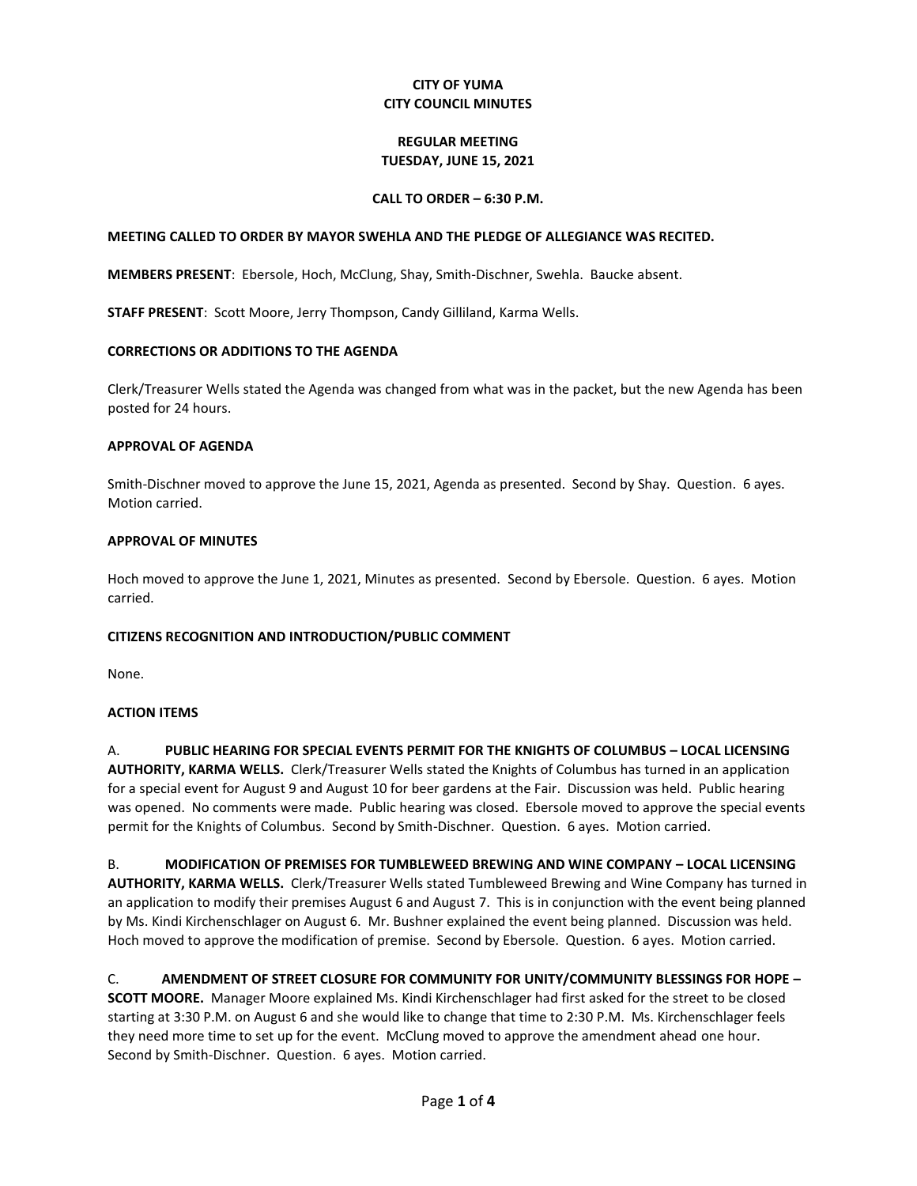## **CITY OF YUMA CITY COUNCIL MINUTES**

## **REGULAR MEETING TUESDAY, JUNE 15, 2021**

## **CALL TO ORDER – 6:30 P.M.**

### **MEETING CALLED TO ORDER BY MAYOR SWEHLA AND THE PLEDGE OF ALLEGIANCE WAS RECITED.**

**MEMBERS PRESENT**: Ebersole, Hoch, McClung, Shay, Smith-Dischner, Swehla. Baucke absent.

**STAFF PRESENT**: Scott Moore, Jerry Thompson, Candy Gilliland, Karma Wells.

### **CORRECTIONS OR ADDITIONS TO THE AGENDA**

Clerk/Treasurer Wells stated the Agenda was changed from what was in the packet, but the new Agenda has been posted for 24 hours.

### **APPROVAL OF AGENDA**

Smith-Dischner moved to approve the June 15, 2021, Agenda as presented. Second by Shay. Question. 6 ayes. Motion carried.

### **APPROVAL OF MINUTES**

Hoch moved to approve the June 1, 2021, Minutes as presented. Second by Ebersole. Question. 6 ayes. Motion carried.

### **CITIZENS RECOGNITION AND INTRODUCTION/PUBLIC COMMENT**

None.

### **ACTION ITEMS**

A. **PUBLIC HEARING FOR SPECIAL EVENTS PERMIT FOR THE KNIGHTS OF COLUMBUS – LOCAL LICENSING AUTHORITY, KARMA WELLS.** Clerk/Treasurer Wells stated the Knights of Columbus has turned in an application for a special event for August 9 and August 10 for beer gardens at the Fair. Discussion was held. Public hearing was opened. No comments were made. Public hearing was closed. Ebersole moved to approve the special events permit for the Knights of Columbus. Second by Smith-Dischner. Question. 6 ayes. Motion carried.

B. **MODIFICATION OF PREMISES FOR TUMBLEWEED BREWING AND WINE COMPANY – LOCAL LICENSING AUTHORITY, KARMA WELLS.** Clerk/Treasurer Wells stated Tumbleweed Brewing and Wine Company has turned in an application to modify their premises August 6 and August 7. This is in conjunction with the event being planned by Ms. Kindi Kirchenschlager on August 6. Mr. Bushner explained the event being planned. Discussion was held. Hoch moved to approve the modification of premise. Second by Ebersole. Question. 6 ayes. Motion carried.

C. **AMENDMENT OF STREET CLOSURE FOR COMMUNITY FOR UNITY/COMMUNITY BLESSINGS FOR HOPE –**

**SCOTT MOORE.** Manager Moore explained Ms. Kindi Kirchenschlager had first asked for the street to be closed starting at 3:30 P.M. on August 6 and she would like to change that time to 2:30 P.M. Ms. Kirchenschlager feels they need more time to set up for the event. McClung moved to approve the amendment ahead one hour. Second by Smith-Dischner. Question. 6 ayes. Motion carried.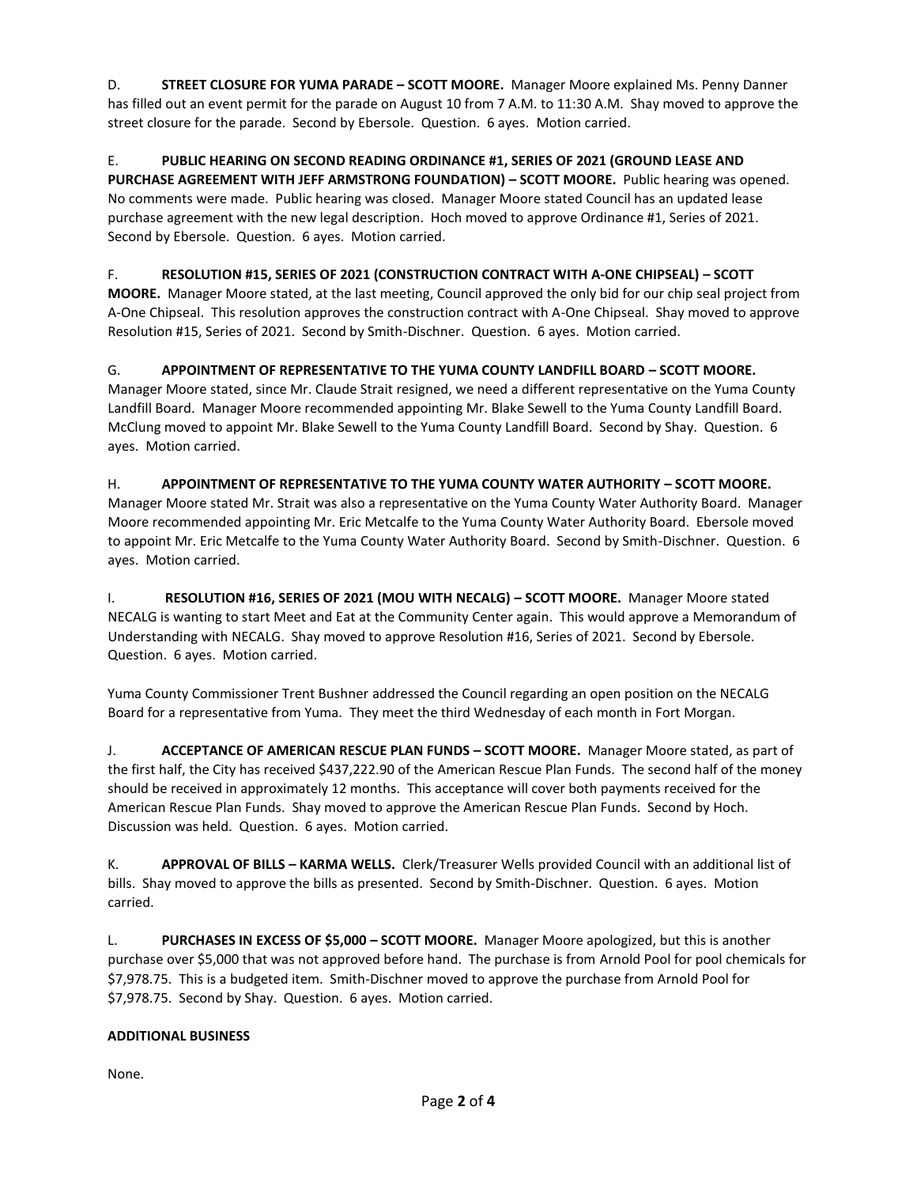D. **STREET CLOSURE FOR YUMA PARADE – SCOTT MOORE.** Manager Moore explained Ms. Penny Danner has filled out an event permit for the parade on August 10 from 7 A.M. to 11:30 A.M. Shay moved to approve the street closure for the parade. Second by Ebersole. Question. 6 ayes. Motion carried.

# E. **PUBLIC HEARING ON SECOND READING ORDINANCE #1, SERIES OF 2021 (GROUND LEASE AND**

**PURCHASE AGREEMENT WITH JEFF ARMSTRONG FOUNDATION) – SCOTT MOORE.** Public hearing was opened. No comments were made. Public hearing was closed. Manager Moore stated Council has an updated lease purchase agreement with the new legal description. Hoch moved to approve Ordinance #1, Series of 2021. Second by Ebersole. Question. 6 ayes. Motion carried.

# F. **RESOLUTION #15, SERIES OF 2021 (CONSTRUCTION CONTRACT WITH A-ONE CHIPSEAL) – SCOTT**

**MOORE.** Manager Moore stated, at the last meeting, Council approved the only bid for our chip seal project from A-One Chipseal. This resolution approves the construction contract with A-One Chipseal. Shay moved to approve Resolution #15, Series of 2021. Second by Smith-Dischner. Question. 6 ayes. Motion carried.

# G. **APPOINTMENT OF REPRESENTATIVE TO THE YUMA COUNTY LANDFILL BOARD – SCOTT MOORE.**

Manager Moore stated, since Mr. Claude Strait resigned, we need a different representative on the Yuma County Landfill Board. Manager Moore recommended appointing Mr. Blake Sewell to the Yuma County Landfill Board. McClung moved to appoint Mr. Blake Sewell to the Yuma County Landfill Board. Second by Shay. Question. 6 ayes. Motion carried.

# H. **APPOINTMENT OF REPRESENTATIVE TO THE YUMA COUNTY WATER AUTHORITY – SCOTT MOORE.**

Manager Moore stated Mr. Strait was also a representative on the Yuma County Water Authority Board. Manager Moore recommended appointing Mr. Eric Metcalfe to the Yuma County Water Authority Board. Ebersole moved to appoint Mr. Eric Metcalfe to the Yuma County Water Authority Board. Second by Smith-Dischner. Question. 6 ayes. Motion carried.

I. **RESOLUTION #16, SERIES OF 2021 (MOU WITH NECALG) – SCOTT MOORE.** Manager Moore stated NECALG is wanting to start Meet and Eat at the Community Center again. This would approve a Memorandum of Understanding with NECALG. Shay moved to approve Resolution #16, Series of 2021. Second by Ebersole. Question. 6 ayes. Motion carried.

Yuma County Commissioner Trent Bushner addressed the Council regarding an open position on the NECALG Board for a representative from Yuma. They meet the third Wednesday of each month in Fort Morgan.

J. **ACCEPTANCE OF AMERICAN RESCUE PLAN FUNDS – SCOTT MOORE.** Manager Moore stated, as part of the first half, the City has received \$437,222.90 of the American Rescue Plan Funds. The second half of the money should be received in approximately 12 months. This acceptance will cover both payments received for the American Rescue Plan Funds. Shay moved to approve the American Rescue Plan Funds. Second by Hoch. Discussion was held. Question. 6 ayes. Motion carried.

K. **APPROVAL OF BILLS – KARMA WELLS.** Clerk/Treasurer Wells provided Council with an additional list of bills. Shay moved to approve the bills as presented. Second by Smith-Dischner. Question. 6 ayes. Motion carried.

L. **PURCHASES IN EXCESS OF \$5,000 – SCOTT MOORE.** Manager Moore apologized, but this is another purchase over \$5,000 that was not approved before hand. The purchase is from Arnold Pool for pool chemicals for \$7,978.75. This is a budgeted item. Smith-Dischner moved to approve the purchase from Arnold Pool for \$7,978.75. Second by Shay. Question. 6 ayes. Motion carried.

# **ADDITIONAL BUSINESS**

None.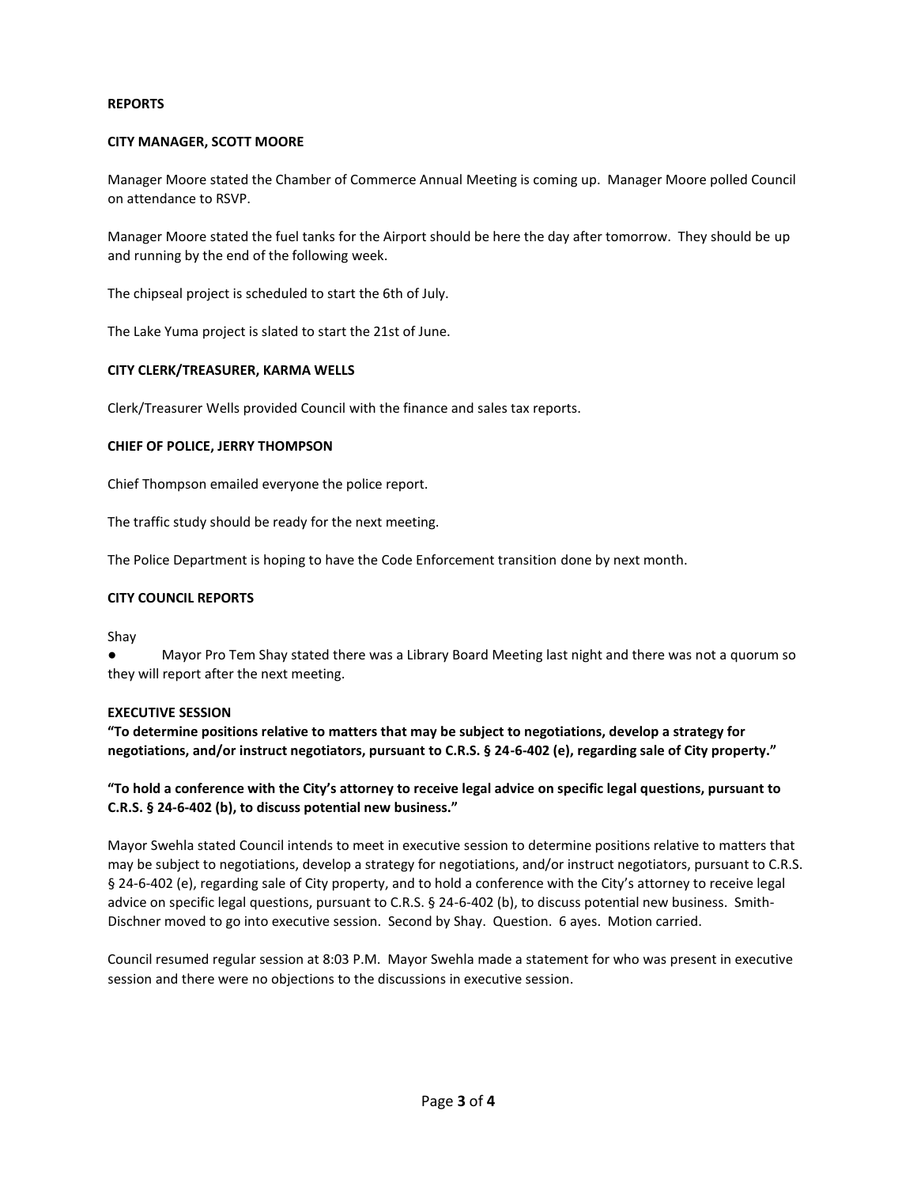### **REPORTS**

### **CITY MANAGER, SCOTT MOORE**

Manager Moore stated the Chamber of Commerce Annual Meeting is coming up. Manager Moore polled Council on attendance to RSVP.

Manager Moore stated the fuel tanks for the Airport should be here the day after tomorrow. They should be up and running by the end of the following week.

The chipseal project is scheduled to start the 6th of July.

The Lake Yuma project is slated to start the 21st of June.

### **CITY CLERK/TREASURER, KARMA WELLS**

Clerk/Treasurer Wells provided Council with the finance and sales tax reports.

### **CHIEF OF POLICE, JERRY THOMPSON**

Chief Thompson emailed everyone the police report.

The traffic study should be ready for the next meeting.

The Police Department is hoping to have the Code Enforcement transition done by next month.

### **CITY COUNCIL REPORTS**

Shay

Mayor Pro Tem Shay stated there was a Library Board Meeting last night and there was not a quorum so they will report after the next meeting.

### **EXECUTIVE SESSION**

**"To determine positions relative to matters that may be subject to negotiations, develop a strategy for negotiations, and/or instruct negotiators, pursuant to C.R.S. § 24-6-402 (e), regarding sale of City property."**

### **"To hold a conference with the City's attorney to receive legal advice on specific legal questions, pursuant to C.R.S. § 24-6-402 (b), to discuss potential new business."**

Mayor Swehla stated Council intends to meet in executive session to determine positions relative to matters that may be subject to negotiations, develop a strategy for negotiations, and/or instruct negotiators, pursuant to C.R.S. § 24-6-402 (e), regarding sale of City property, and to hold a conference with the City's attorney to receive legal advice on specific legal questions, pursuant to C.R.S. § 24-6-402 (b), to discuss potential new business. Smith-Dischner moved to go into executive session. Second by Shay. Question. 6 ayes. Motion carried.

Council resumed regular session at 8:03 P.M. Mayor Swehla made a statement for who was present in executive session and there were no objections to the discussions in executive session.